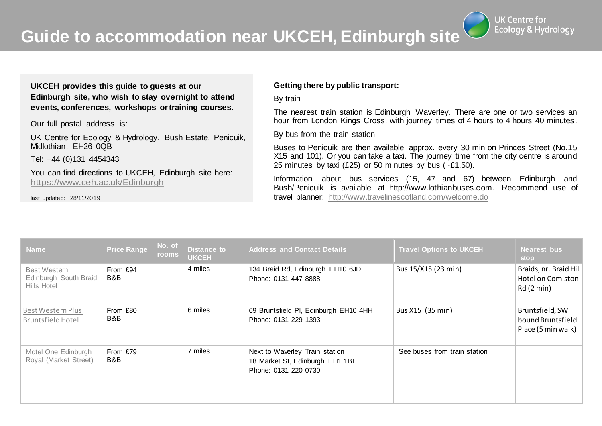**Guide to accommodation near UKCEH, Edinburgh site**

**UK Centre for Ecology & Hydrology** 

**UKCEH provides this guide to guests at our Edinburgh site, who wish to stay overnight to attend events, conferences, workshops ortraining courses.**

Our full postal address is:

UK Centre for Ecology & Hydrology, Bush Estate, Penicuik, Midlothian, EH26 0QB

Tel: +44 (0)131 4454343

You can find directions to UKCEH, Edinburgh site here: <https://www.ceh.ac.uk/Edinburgh>

last updated: 28/11/2019

## **Getting there by public transport:**

By train

The nearest train station is Edinburgh Waverley. There are one or two services an hour from London Kings Cross, with journey times of 4 hours to 4 hours 40 minutes.

By bus from the train station

Buses to Penicuik are then available approx. every 30 min on Princes Street (No.15 X15 and 101). Or you can take a taxi. The journey time from the city centre is around 25 minutes by taxi (£25) or 50 minutes by bus  $(-21.50)$ .

Information about bus services (15, 47 and 67) between Edinburgh and Bush/Penicuik is available at http://www.lothianbuses.com. Recommend use of travel planner: <http://www.travelinescotland.com/welcome.do>

| <b>Name</b>                                                 | <b>Price Range</b> | No. of<br>rooms | <b>Distance to</b><br><b>UKCEH</b> | <b>Address and Contact Details</b>                                                        | <b>Travel Options to UKCEH</b> | <b>Nearest bus</b><br>stop                                    |
|-------------------------------------------------------------|--------------------|-----------------|------------------------------------|-------------------------------------------------------------------------------------------|--------------------------------|---------------------------------------------------------------|
| <b>Best Western</b><br>Edinburgh South Braid<br>Hills Hotel | From £94<br>B&B    |                 | 4 miles                            | 134 Braid Rd, Edinburgh EH10 6JD<br>Phone: 0131 447 8888                                  | Bus 15/X15 (23 min)            | Braids, nr. Braid Hil<br><b>Hotel on Comiston</b><br>Rd(2min) |
| Best Western Plus<br><b>Bruntsfield Hotel</b>               | From £80<br>B&B    |                 | 6 miles                            | 69 Bruntsfield PI, Edinburgh EH10 4HH<br>Phone: 0131 229 1393                             | Bus X15 (35 min)               | Bruntsfield, SW<br>bound Bruntsfield<br>Place (5 min walk)    |
| Motel One Edinburgh<br>Royal (Market Street)                | From £79<br>B&B    |                 | 7 miles                            | Next to Waverley Train station<br>18 Market St, Edinburgh EH1 1BL<br>Phone: 0131 220 0730 | See buses from train station   |                                                               |